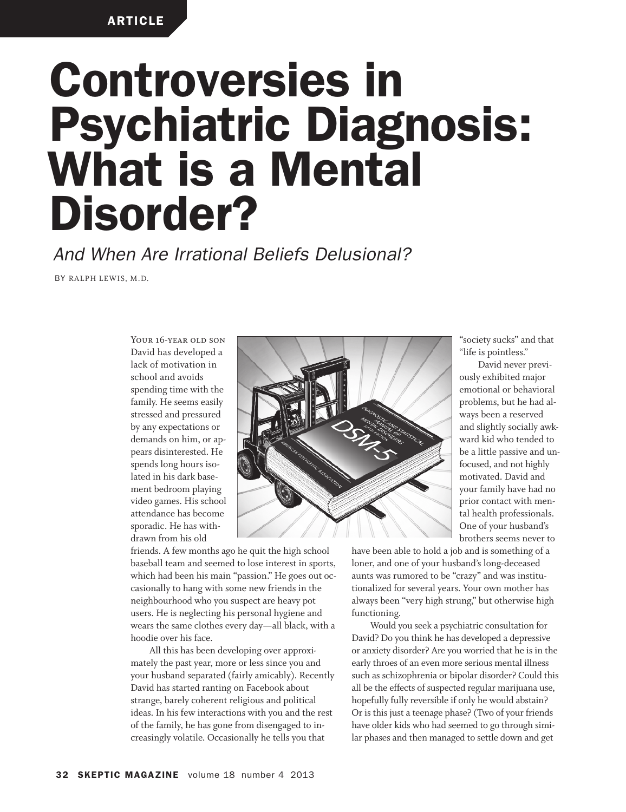# **Controversies in Psychiatric Diagnosis: What is a Mental Disorder?**

*And When Are Irrational Beliefs Delusional?*

BY RALPH LEWIS, M.D.

YOUR 16-YEAR OLD SON David has developed a lack of motivation in school and avoids spending time with the family. He seems easily stressed and pressured by any expectations or demands on him, or appears disinterested. He spends long hours isolated in his dark basement bedroom playing video games. His school attendance has become sporadic. He has withdrawn from his old



friends. A few months ago he quit the high school baseball team and seemed to lose interest in sports, which had been his main "passion." He goes out occasionally to hang with some new friends in the neighbourhood who you suspect are heavy pot users. He is neglecting his personal hygiene and wears the same clothes every day—all black, with a hoodie over his face.

All this has been developing over approximately the past year, more or less since you and your husband separated (fairly amicably). Recently David has started ranting on Facebook about strange, barely coherent religious and political ideas. In his few interactions with you and the rest of the family, he has gone from disengaged to increasingly volatile. Occasionally he tells you that

"society sucks" and that "life is pointless."

David never previously exhibited major emotional or behavioral problems, but he had always been a reserved and slightly socially awkward kid who tended to be a little passive and unfocused, and not highly motivated. David and your family have had no prior contact with mental health professionals. One of your husband's brothers seems never to

have been able to hold a job and is something of a loner, and one of your husband's long-deceased aunts was rumored to be "crazy" and was institutionalized for several years. Your own mother has always been "very high strung," but otherwise high functioning.

Would you seek a psychiatric consultation for David? Do you think he has developed a depressive or anxiety disorder? Are you worried that he is in the early throes of an even more serious mental illness such as schizophrenia or bipolar disorder? Could this all be the effects of suspected regular marijuana use, hopefully fully reversible if only he would abstain? Or is this just a teenage phase? (Two of your friends have older kids who had seemed to go through similar phases and then managed to settle down and get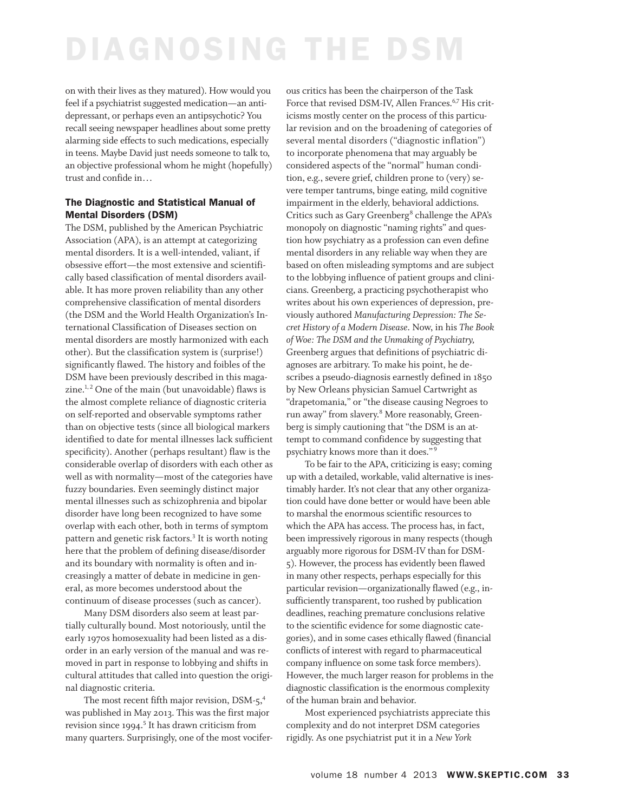on with their lives as they matured). How would you feel if a psychiatrist suggested medication—an antidepressant, or perhaps even an antipsychotic? You recall seeing newspaper headlines about some pretty alarming side effects to such medications, especially in teens. Maybe David just needs someone to talk to, an objective professional whom he might (hopefully) trust and confide in…

### **The Diagnostic and Statistical Manual of Mental Disorders (DSM)**

The DSM, published by the American Psychiatric Association (APA), is an attempt at categorizing mental disorders. It is a well-intended, valiant, if obsessive effort—the most extensive and scientifically based classification of mental disorders available. It has more proven reliability than any other comprehensive classification of mental disorders (the DSM and the World Health Organization's International Classification of Diseases section on mental disorders are mostly harmonized with each other). But the classification system is (surprise!) significantly flawed. The history and foibles of the DSM have been previously described in this magazine.<sup>1,2</sup> One of the main (but unavoidable) flaws is the almost complete reliance of diagnostic criteria on self-reported and observable symptoms rather than on objective tests (since all biological markers identified to date for mental illnesses lack sufficient specificity). Another (perhaps resultant) flaw is the considerable overlap of disorders with each other as well as with normality—most of the categories have fuzzy boundaries. Even seemingly distinct major mental illnesses such as schizophrenia and bipolar disorder have long been recognized to have some overlap with each other, both in terms of symptom pattern and genetic risk factors. <sup>3</sup> It is worth noting here that the problem of defining disease/disorder and its boundary with normality is often and increasingly a matter of debate in medicine in general, as more becomes understood about the continuum of disease processes (such as cancer).

Many DSM disorders also seem at least partially culturally bound. Most notoriously, until the early 1970s homosexuality had been listed as a disorder in an early version of the manual and was removed in part in response to lobbying and shifts in cultural attitudes that called into question the original diagnostic criteria.

The most recent fifth major revision, DSM-5,<sup>4</sup> was published in May 2013. This was the first major revision since 1994. <sup>5</sup> It has drawn criticism from many quarters. Surprisingly, one of the most vociferous critics has been the chairperson of the Task Force that revised DSM-IV, Allen Frances.<sup>6,7</sup> His criticisms mostly center on the process of this particular revision and on the broadening of categories of several mental disorders ("diagnostic inflation") to incorporate phenomena that may arguably be considered aspects of the "normal" human condition, e.g., severe grief, children prone to (very) severe temper tantrums, binge eating, mild cognitive impairment in the elderly, behavioral addictions. Critics such as Gary Greenberg<sup>8</sup> challenge the APA's monopoly on diagnostic "naming rights" and question how psychiatry as a profession can even define mental disorders in any reliable way when they are based on often misleading symptoms and are subject to the lobbying influence of patient groups and clinicians. Greenberg, a practicing psychotherapist who writes about his own experiences of depression, previously authored *Manufacturing Depression: The Secret History of a Modern Disease*. Now, in his *The Book of Woe: The DSM and the Unmaking of Psychiatry,* Greenberg argues that definitions of psychiatric diagnoses are arbitrary. To make his point, he describes a pseudo-diagnosis earnestly defined in 1850 by New Orleans physician Samuel Cartwright as "drapetomania*,*" or "the disease causing Negroes to run away" from slavery. <sup>8</sup> More reasonably, Greenberg is simply cautioning that "the DSM is an attempt to command confidence by suggesting that psychiatry knows more than it does." <sup>9</sup>

To be fair to the APA, criticizing is easy; coming up with a detailed, workable, valid alternative is inestimably harder. It's not clear that any other organization could have done better or would have been able to marshal the enormous scientific resources to which the APA has access. The process has, in fact, been impressively rigorous in many respects (though arguably more rigorous for DSM-IV than for DSM-5). However, the process has evidently been flawed in many other respects, perhaps especially for this particular revision—organizationally flawed (e.g., insufficiently transparent, too rushed by publication deadlines, reaching premature conclusions relative to the scientific evidence for some diagnostic categories), and in some cases ethically flawed (financial conflicts of interest with regard to pharmaceutical company influence on some task force members). However, the much larger reason for problems in the diagnostic classification is the enormous complexity of the human brain and behavior.

Most experienced psychiatrists appreciate this complexity and do not interpret DSM categories rigidly. As one psychiatrist put it in a *New York*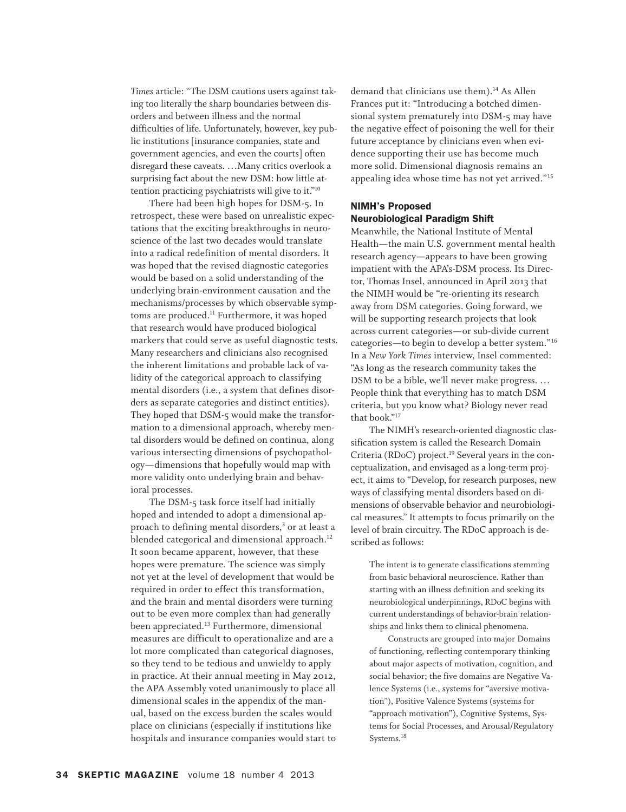*Times* article: "The DSM cautions users against taking too literally the sharp boundaries between disorders and between illness and the normal difficulties of life. Unfortunately, however, key public institutions [insurance companies, state and government agencies, and even the courts] often disregard these caveats. …Many critics overlook a surprising fact about the new DSM: how little attention practicing psychiatrists will give to it."<sup>10</sup>

There had been high hopes for DSM-5. In retrospect, these were based on unrealistic expectations that the exciting breakthroughs in neuroscience of the last two decades would translate into a radical redefinition of mental disorders. It was hoped that the revised diagnostic categories would be based on a solid understanding of the underlying brain-environment causation and the mechanisms/processes by which observable symptoms are produced. <sup>11</sup> Furthermore, it was hoped that research would have produced biological markers that could serve as useful diagnostic tests. Many researchers and clinicians also recognised the inherent limitations and probable lack of validity of the categorical approach to classifying mental disorders (i.e., a system that defines disorders as separate categories and distinct entities). They hoped that DSM-5 would make the transformation to a dimensional approach, whereby mental disorders would be defined on continua, along various intersecting dimensions of psychopathology—dimensions that hopefully would map with more validity onto underlying brain and behavioral processes.

The DSM-5 task force itself had initially hoped and intended to adopt a dimensional approach to defining mental disorders, <sup>3</sup> or at least a <u>.</u><br>blended categorical and dimensional approach.<sup>12</sup> It soon became apparent, however, that these hopes were premature. The science was simply not yet at the level of development that would be required in order to effect this transformation, and the brain and mental disorders were turning out to be even more complex than had generally been appreciated.<sup>13</sup> Furthermore, dimensional measures are difficult to operationalize and are a lot more complicated than categorical diagnoses, so they tend to be tedious and unwieldy to apply in practice. At their annual meeting in May 2012, the APA Assembly voted unanimously to place all dimensional scales in the appendix of the manual, based on the excess burden the scales would place on clinicians (especially if institutions like hospitals and insurance companies would start to

demand that clinicians use them). <sup>14</sup> As Allen Frances put it: "Introducing a botched dimensional system prematurely into DSM-5 may have the negative effect of poisoning the well for their future acceptance by clinicians even when evidence supporting their use has become much more solid. Dimensional diagnosis remains an appealing idea whose time has not yet arrived."<sup>15</sup>

### **NIMH's Proposed Neurobiological Paradigm Shift**

Meanwhile, the National Institute of Mental Health—the main U.S. government mental health research agency—appears to have been growing impatient with the APA's-DSM process. Its Director, Thomas Insel, announced in April 2013 that the NIMH would be "re-orienting its research away from DSM categories. Going forward, we will be supporting research projects that look across current categories—or sub-divide current categories—to begin to develop a better system."<sup>16</sup> In a *New York Times* interview, Insel commented: "As long as the research community takes the DSM to be a bible, we'll never make progress. … People think that everything has to match DSM criteria, but you know what? Biology never read that book."<sup>17</sup>

The NIMH's research-oriented diagnostic classification system is called the Research Domain Criteria (RDoC) project. <sup>19</sup> Several years in the conceptualization, and envisaged as a long-term project, it aims to "Develop, for research purposes, new ways of classifying mental disorders based on dimensions of observable behavior and neurobiological measures." It attempts to focus primarily on the level of brain circuitry. The RDoC approach is described as follows:

The intent is to generate classifications stemming from basic behavioral neuroscience. Rather than starting with an illness definition and seeking its neurobiological underpinnings, RDoC begins with current understandings of behavior-brain relationships and links them to clinical phenomena.

Constructs are grouped into major Domains of functioning, reflecting contemporary thinking about major aspects of motivation, cognition, and social behavior; the five domains are Negative Valence Systems (i.e., systems for "aversive motivation"), Positive Valence Systems (systems for "approach motivation"), Cognitive Systems, Systems for Social Processes, and Arousal/Regulatory Systems. 18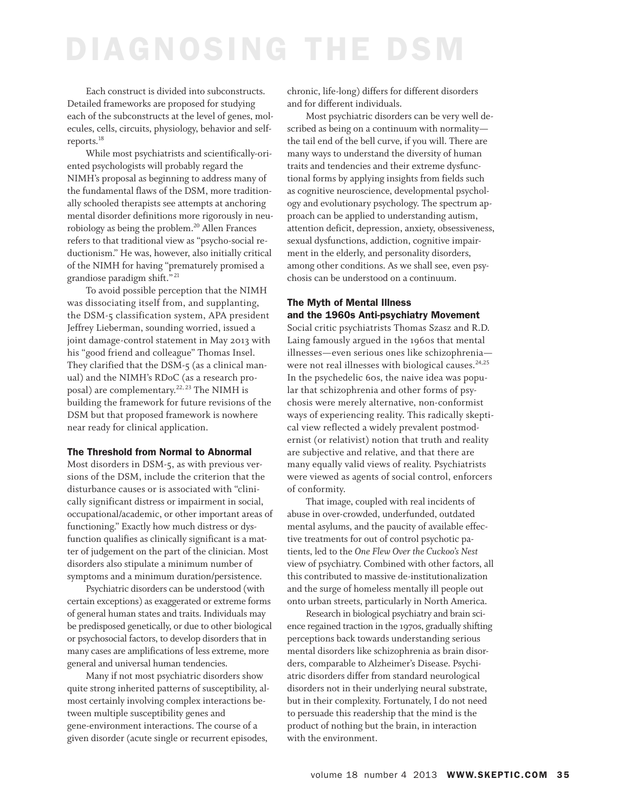Each construct is divided into subconstructs. Detailed frameworks are proposed for studying each of the subconstructs at the level of genes, molecules, cells, circuits, physiology, behavior and selfreports. 18

While most psychiatrists and scientifically-oriented psychologists will probably regard the NIMH's proposal as beginning to address many of the fundamental flaws of the DSM, more traditionally schooled therapists see attempts at anchoring mental disorder definitions more rigorously in neurobiology as being the problem. <sup>20</sup> Allen Frances refers to that traditional view as "psycho-social reductionism." He was, however, also initially critical of the NIMH for having "prematurely promised a grandiose paradigm shift." <sup>21</sup>

To avoid possible perception that the NIMH was dissociating itself from, and supplanting, the DSM-5 classification system, APA president Jeffrey Lieberman, sounding worried, issued a joint damage-control statement in May 2013 with his "good friend and colleague" Thomas Insel. They clarified that the DSM-5 (as a clinical manual) and the NIMH's RDoC (as a research proposal) are complementary. 22, <sup>23</sup> The NIMH is building the framework for future revisions of the DSM but that proposed framework is nowhere near ready for clinical application.

#### **The Threshold from Normal to Abnormal**

Most disorders in DSM-5, as with previous versions of the DSM, include the criterion that the disturbance causes or is associated with "clinically significant distress or impairment in social, occupational/academic, or other important areas of functioning." Exactly how much distress or dysfunction qualifies as clinically significant is a matter of judgement on the part of the clinician. Most disorders also stipulate a minimum number of symptoms and a minimum duration/persistence.

Psychiatric disorders can be understood (with certain exceptions) as exaggerated or extreme forms of general human states and traits. Individuals may be predisposed genetically, or due to other biological or psychosocial factors, to develop disorders that in many cases are amplifications of less extreme, more general and universal human tendencies.

Many if not most psychiatric disorders show quite strong inherited patterns of susceptibility, almost certainly involving complex interactions between multiple susceptibility genes and gene-environment interactions. The course of a given disorder (acute single or recurrent episodes,

chronic, life-long) differs for different disorders and for different individuals.

Most psychiatric disorders can be very well described as being on a continuum with normality the tail end of the bell curve, if you will. There are many ways to understand the diversity of human traits and tendencies and their extreme dysfunctional forms by applying insights from fields such as cognitive neuroscience, developmental psychology and evolutionary psychology. The spectrum approach can be applied to understanding autism, attention deficit, depression, anxiety, obsessiveness, sexual dysfunctions, addiction, cognitive impairment in the elderly, and personality disorders, among other conditions. As we shall see, even psychosis can be understood on a continuum.

### **The Myth of Mental Illness and the 1960s Anti-psychiatry Movement**

Social critic psychiatrists Thomas Szasz and R.D. Laing famously argued in the 1960s that mental illnesses—even serious ones like schizophrenia were not real illnesses with biological causes. 24,25 In the psychedelic 60s, the naive idea was popular that schizophrenia and other forms of psychosis were merely alternative, non-conformist ways of experiencing reality. This radically skeptical view reflected a widely prevalent postmodernist (or relativist) notion that truth and reality are subjective and relative, and that there are many equally valid views of reality. Psychiatrists were viewed as agents of social control, enforcers of conformity.

That image, coupled with real incidents of abuse in over-crowded, underfunded, outdated mental asylums, and the paucity of available effective treatments for out of control psychotic patients, led to the *One Flew Over the Cuckoo's Nest* view of psychiatry. Combined with other factors, all this contributed to massive de-institutionalization and the surge of homeless mentally ill people out onto urban streets, particularly in North America.

Research in biological psychiatry and brain science regained traction in the 1970s, gradually shifting perceptions back towards understanding serious mental disorders like schizophrenia as brain disorders, comparable to Alzheimer's Disease. Psychiatric disorders differ from standard neurological disorders not in their underlying neural substrate, but in their complexity. Fortunately, I do not need to persuade this readership that the mind is the product of nothing but the brain, in interaction with the environment.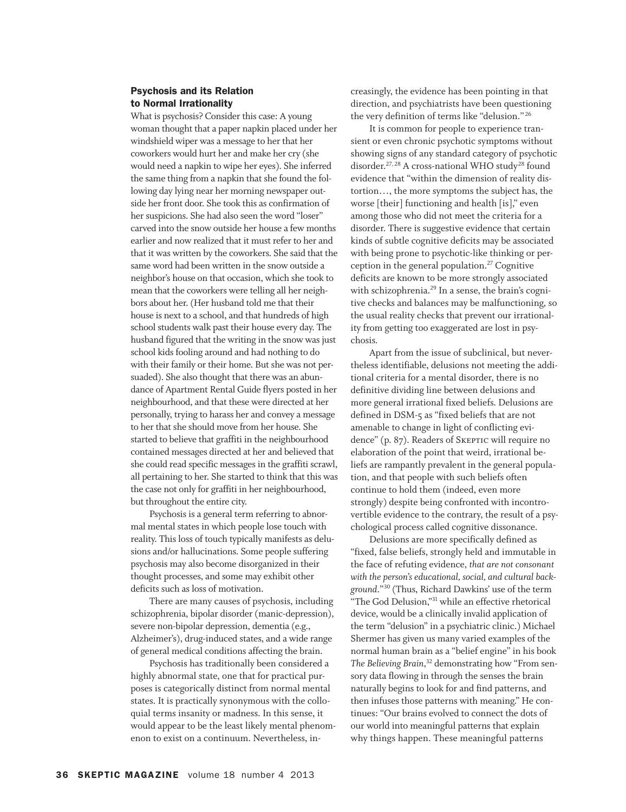### **Psychosis and its Relation to Normal Irrationality**

What is psychosis? Consider this case: A young woman thought that a paper napkin placed under her windshield wiper was a message to her that her coworkers would hurt her and make her cry (she would need a napkin to wipe her eyes). She inferred the same thing from a napkin that she found the following day lying near her morning newspaper outside her front door. She took this as confirmation of her suspicions. She had also seen the word "loser" carved into the snow outside her house a few months earlier and now realized that it must refer to her and that it was written by the coworkers. She said that the same word had been written in the snow outside a neighbor's house on that occasion, which she took to mean that the coworkers were telling all her neighbors about her. (Her husband told me that their house is next to a school, and that hundreds of high school students walk past their house every day. The husband figured that the writing in the snow was just school kids fooling around and had nothing to do with their family or their home. But she was not persuaded). She also thought that there was an abundance of Apartment Rental Guide flyers posted in her neighbourhood, and that these were directed at her personally, trying to harass her and convey a message to her that she should move from her house. She started to believe that graffiti in the neighbourhood contained messages directed at her and believed that she could read specific messages in the graffiti scrawl, all pertaining to her. She started to think that this was the case not only for graffiti in her neighbourhood, but throughout the entire city.

Psychosis is a general term referring to abnormal mental states in which people lose touch with reality. This loss of touch typically manifests as delusions and/or hallucinations. Some people suffering psychosis may also become disorganized in their thought processes, and some may exhibit other deficits such as loss of motivation.

There are many causes of psychosis, including schizophrenia, bipolar disorder (manic-depression), severe non-bipolar depression, dementia (e.g., Alzheimer's), drug-induced states, and a wide range of general medical conditions affecting the brain.

Psychosis has traditionally been considered a highly abnormal state, one that for practical purposes is categorically distinct from normal mental states. It is practically synonymous with the colloquial terms insanity or madness. In this sense, it would appear to be the least likely mental phenomenon to exist on a continuum. Nevertheless, increasingly, the evidence has been pointing in that direction, and psychiatrists have been questioning the very definition of terms like "delusion." <sup>26</sup>

It is common for people to experience transient or even chronic psychotic symptoms without showing signs of any standard category of psychotic disorder.<sup>27, 28</sup> A cross-national WHO study<sup>28</sup> found evidence that "within the dimension of reality distortion…, the more symptoms the subject has, the worse [their] functioning and health [is]," even among those who did not meet the criteria for a disorder. There is suggestive evidence that certain kinds of subtle cognitive deficits may be associated with being prone to psychotic-like thinking or perception in the general population. <sup>27</sup> Cognitive deficits are known to be more strongly associated with schizophrenia. <sup>29</sup> In a sense, the brain's cognitive checks and balances may be malfunctioning, so the usual reality checks that prevent our irrationality from getting too exaggerated are lost in psychosis.

Apart from the issue of subclinical, but nevertheless identifiable, delusions not meeting the additional criteria for a mental disorder, there is no definitive dividing line between delusions and more general irrational fixed beliefs. Delusions are defined in DSM-5 as "fixed beliefs that are not amenable to change in light of conflicting evidence" (p. 87). Readers of SKEPTIC will require no elaboration of the point that weird, irrational beliefs are rampantly prevalent in the general population, and that people with such beliefs often continue to hold them (indeed, even more strongly) despite being confronted with incontrovertible evidence to the contrary, the result of a psychological process called cognitive dissonance.

Delusions are more specifically defined as "fixed, false beliefs, strongly held and immutable in the face of refuting evidence, *that are not consonant with the person's educational, social, and cultural background*."<sup>30</sup> (Thus, Richard Dawkins' use of the term "The God Delusion,"<sup>31</sup> while an effective rhetorical device, would be a clinically invalid application of the term "delusion" in a psychiatric clinic.) Michael Shermer has given us many varied examples of the normal human brain as a "belief engine" in his book *The Believing Brain*, <sup>32</sup> demonstrating how "From sensory data flowing in through the senses the brain naturally begins to look for and find patterns, and then infuses those patterns with meaning." He continues: "Our brains evolved to connect the dots of our world into meaningful patterns that explain why things happen. These meaningful patterns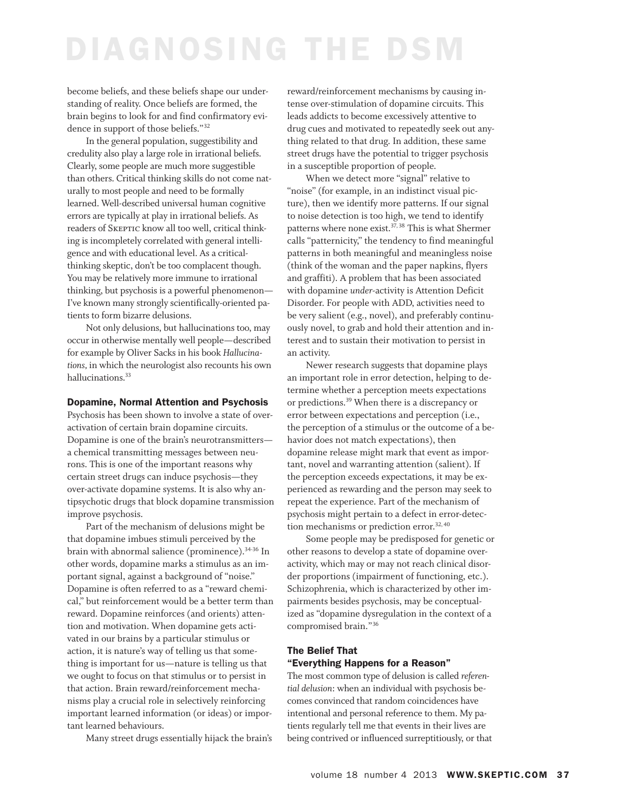become beliefs, and these beliefs shape our understanding of reality. Once beliefs are formed, the brain begins to look for and find confirmatory evidence in support of those beliefs."<sup>32</sup>

In the general population, suggestibility and credulity also play a large role in irrational beliefs. Clearly, some people are much more suggestible than others. Critical thinking skills do not come naturally to most people and need to be formally learned. Well-described universal human cognitive errors are typically at play in irrational beliefs. As readers of Skeptic know all too well, critical thinking is incompletely correlated with general intelligence and with educational level. As a criticalthinking skeptic, don't be too complacent though. You may be relatively more immune to irrational thinking, but psychosis is a powerful phenomenon— I've known many strongly scientifically-oriented patients to form bizarre delusions.

Not only delusions, but hallucinations too, may occur in otherwise mentally well people—described for example by Oliver Sacks in his book *Hallucinations,* in which the neurologist also recounts his own hallucinations.<sup>33</sup>

#### **Dopamine, Normal Attention and Psychosis**

Psychosis has been shown to involve a state of overactivation of certain brain dopamine circuits. Dopamine is one of the brain's neurotransmitters a chemical transmitting messages between neurons. This is one of the important reasons why certain street drugs can induce psychosis—they over-activate dopamine systems. It is also why antipsychotic drugs that block dopamine transmission improve psychosis.

Part of the mechanism of delusions might be that dopamine imbues stimuli perceived by the brain with abnormal salience (prominence). 34-36 In other words, dopamine marks a stimulus as an important signal, against a background of "noise." Dopamine is often referred to as a "reward chemical," but reinforcement would be a better term than reward. Dopamine reinforces (and orients) attention and motivation. When dopamine gets activated in our brains by a particular stimulus or action, it is nature's way of telling us that something is important for us—nature is telling us that we ought to focus on that stimulus or to persist in that action. Brain reward/reinforcement mechanisms play a crucial role in selectively reinforcing important learned information (or ideas) or important learned behaviours.

Many street drugs essentially hijack the brain's

reward/reinforcement mechanisms by causing intense over-stimulation of dopamine circuits. This leads addicts to become excessively attentive to drug cues and motivated to repeatedly seek out anything related to that drug. In addition, these same street drugs have the potential to trigger psychosis in a susceptible proportion of people.

When we detect more "signal" relative to "noise" (for example, in an indistinct visual picture), then we identify more patterns. If our signal to noise detection is too high, we tend to identify patterns where none exist.<sup>37,38</sup> This is what Shermer calls "patternicity," the tendency to find meaningful patterns in both meaningful and meaningless noise (think of the woman and the paper napkins, flyers and graffiti). A problem that has been associated with dopamine *under*-activity is Attention Deficit Disorder. For people with ADD, activities need to be very salient (e.g., novel), and preferably continuously novel, to grab and hold their attention and interest and to sustain their motivation to persist in an activity.

Newer research suggests that dopamine plays an important role in error detection, helping to determine whether a perception meets expectations or predictions. <sup>39</sup> When there is a discrepancy or error between expectations and perception (i.e., the perception of a stimulus or the outcome of a behavior does not match expectations), then dopamine release might mark that event as important, novel and warranting attention (salient). If the perception exceeds expectations, it may be experienced as rewarding and the person may seek to repeat the experience. Part of the mechanism of psychosis might pertain to a defect in error-detec- $\frac{1}{2}$  tion mechanisms or prediction error.<sup>32,40</sup>

Some people may be predisposed for genetic or other reasons to develop a state of dopamine overactivity, which may or may not reach clinical disorder proportions (impairment of functioning, etc.). Schizophrenia, which is characterized by other impairments besides psychosis, may be conceptualized as "dopamine dysregulation in the context of a compromised brain."<sup>36</sup>

### **The Belief That "Everything Happens for a Reason"**

The most common type of delusion is called *referential delusion*: when an individual with psychosis becomes convinced that random coincidences have intentional and personal reference to them. My patients regularly tell me that events in their lives are being contrived or influenced surreptitiously, or that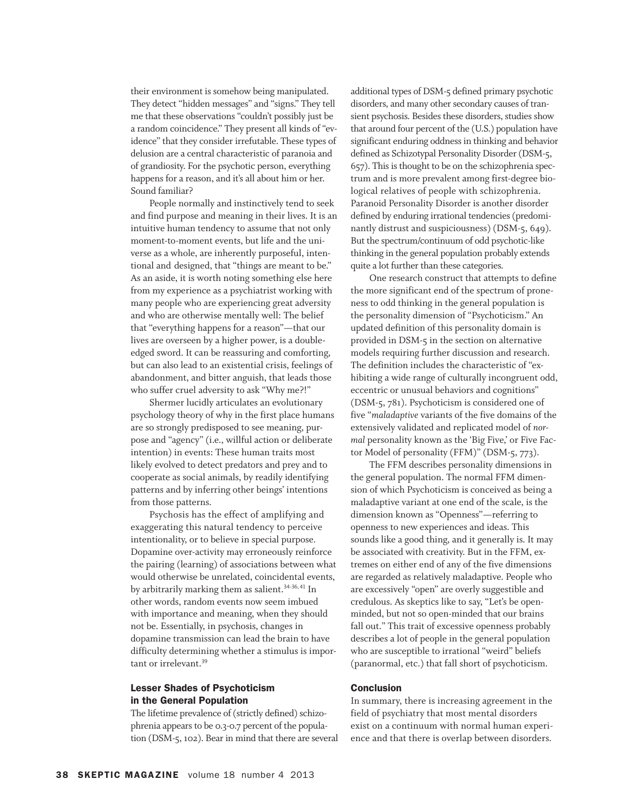their environment is somehow being manipulated. They detect "hidden messages" and "signs." They tell me that these observations "couldn't possibly just be a random coincidence." They present all kinds of "evidence" that they consider irrefutable. These types of delusion are a central characteristic of paranoia and of grandiosity. For the psychotic person, everything happens for a reason, and it's all about him or her. Sound familiar?

People normally and instinctively tend to seek and find purpose and meaning in their lives. It is an intuitive human tendency to assume that not only moment-to-moment events, but life and the universe as a whole, are inherently purposeful, intentional and designed, that "things are meant to be." As an aside, it is worth noting something else here from my experience as a psychiatrist working with many people who are experiencing great adversity and who are otherwise mentally well: The belief that "everything happens for a reason"—that our lives are overseen by a higher power, is a doubleedged sword. It can be reassuring and comforting, but can also lead to an existential crisis, feelings of abandonment, and bitter anguish, that leads those who suffer cruel adversity to ask "Why me?!"

Shermer lucidly articulates an evolutionary psychology theory of why in the first place humans are so strongly predisposed to see meaning, purpose and "agency" (i.e., willful action or deliberate intention) in events: These human traits most likely evolved to detect predators and prey and to cooperate as social animals, by readily identifying patterns and by inferring other beings' intentions from those patterns.

Psychosis has the effect of amplifying and exaggerating this natural tendency to perceive intentionality, or to believe in special purpose. Dopamine over-activity may erroneously reinforce the pairing (learning) of associations between what would otherwise be unrelated, coincidental events, by arbitrarily marking them as salient. 34-36, <sup>41</sup> In other words, random events now seem imbued with importance and meaning, when they should not be. Essentially, in psychosis, changes in dopamine transmission can lead the brain to have difficulty determining whether a stimulus is important or irrelevant. 39

### **Lesser Shades of Psychoticism in the General Population**

The lifetime prevalence of (strictly defined) schizophrenia appears to be 0.3-0.7 percent of the population (DSM-5, 102). Bear in mind that there are several additional types of DSM-5 defined primary psychotic disorders, and many other secondary causes of transient psychosis. Besides these disorders, studies show that around four percent of the (U.S.) population have significant enduring oddness in thinking and behavior defined as Schizotypal Personality Disorder (DSM-5, 657). This is thought to be on the schizophrenia spectrum and is more prevalent among first-degree biological relatives of people with schizophrenia. Paranoid Personality Disorder is another disorder defined by enduring irrational tendencies (predominantly distrust and suspiciousness) (DSM-5, 649). But the spectrum/continuum of odd psychotic-like thinking in the general population probably extends quite a lot further than these categories.

One research construct that attempts to define the more significant end of the spectrum of proneness to odd thinking in the general population is the personality dimension of "Psychoticism." An updated definition of this personality domain is provided in DSM-5 in the section on alternative models requiring further discussion and research. The definition includes the characteristic of "exhibiting a wide range of culturally incongruent odd, eccentric or unusual behaviors and cognitions" (DSM-5, 781). Psychoticism is considered one of five "*maladaptive* variants of the five domains of the extensively validated and replicated model of *normal* personality known as the 'Big Five,' or Five Factor Model of personality (FFM)" (DSM-5, 773).

The FFM describes personality dimensions in the general population. The normal FFM dimension of which Psychoticism is conceived as being a maladaptive variant at one end of the scale, is the dimension known as "Openness"—referring to openness to new experiences and ideas. This sounds like a good thing, and it generally is. It may be associated with creativity. But in the FFM, extremes on either end of any of the five dimensions are regarded as relatively maladaptive. People who are excessively "open" are overly suggestible and credulous. As skeptics like to say, "Let's be openminded, but not so open-minded that our brains fall out." This trait of excessive openness probably describes a lot of people in the general population who are susceptible to irrational "weird" beliefs (paranormal, etc.) that fall short of psychoticism.

#### **Conclusion**

In summary, there is increasing agreement in the field of psychiatry that most mental disorders exist on a continuum with normal human experience and that there is overlap between disorders.